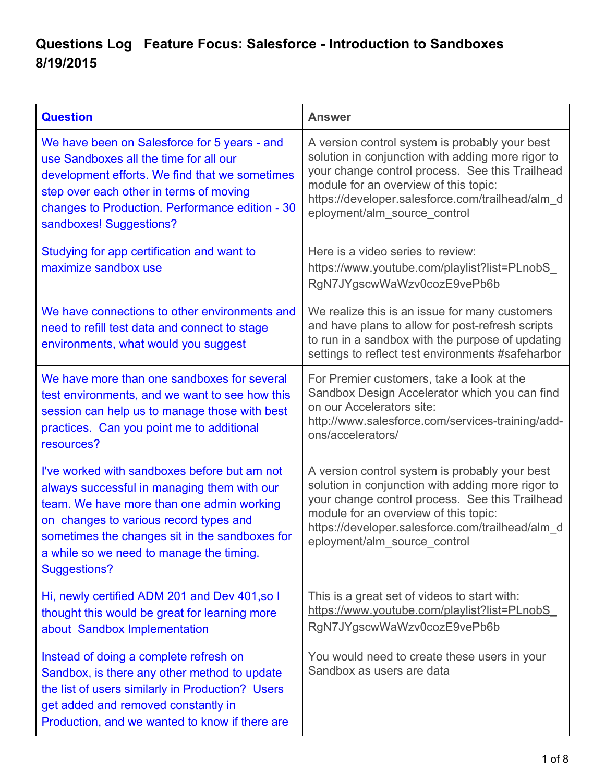## **Questions Log Feature Focus: Salesforce Introduction to Sandboxes 8/19/2015**

| <b>Question</b>                                                                                                                                                                                                                                                                                         | <b>Answer</b>                                                                                                                                                                                                                                                                       |
|---------------------------------------------------------------------------------------------------------------------------------------------------------------------------------------------------------------------------------------------------------------------------------------------------------|-------------------------------------------------------------------------------------------------------------------------------------------------------------------------------------------------------------------------------------------------------------------------------------|
| We have been on Salesforce for 5 years - and<br>use Sandboxes all the time for all our<br>development efforts. We find that we sometimes<br>step over each other in terms of moving<br>changes to Production. Performance edition - 30<br>sandboxes! Suggestions?                                       | A version control system is probably your best<br>solution in conjunction with adding more rigor to<br>your change control process. See this Trailhead<br>module for an overview of this topic:<br>https://developer.salesforce.com/trailhead/alm_d<br>eployment/alm_source_control |
| Studying for app certification and want to<br>maximize sandbox use                                                                                                                                                                                                                                      | Here is a video series to review:<br>https://www.youtube.com/playlist?list=PLnobS<br>RgN7JYgscwWaWzv0cozE9vePb6b                                                                                                                                                                    |
| We have connections to other environments and<br>need to refill test data and connect to stage<br>environments, what would you suggest                                                                                                                                                                  | We realize this is an issue for many customers<br>and have plans to allow for post-refresh scripts<br>to run in a sandbox with the purpose of updating<br>settings to reflect test environments #safeharbor                                                                         |
| We have more than one sandboxes for several<br>test environments, and we want to see how this<br>session can help us to manage those with best<br>practices. Can you point me to additional<br>resources?                                                                                               | For Premier customers, take a look at the<br>Sandbox Design Accelerator which you can find<br>on our Accelerators site:<br>http://www.salesforce.com/services-training/add-<br>ons/accelerators/                                                                                    |
| I've worked with sandboxes before but am not<br>always successful in managing them with our<br>team. We have more than one admin working<br>on changes to various record types and<br>sometimes the changes sit in the sandboxes for<br>a while so we need to manage the timing.<br><b>Suggestions?</b> | A version control system is probably your best<br>solution in conjunction with adding more rigor to<br>your change control process. See this Trailhead<br>module for an overview of this topic:<br>https://developer.salesforce.com/trailhead/alm_d<br>eployment/alm source control |
| Hi, newly certified ADM 201 and Dev 401, so I<br>thought this would be great for learning more<br>about Sandbox Implementation                                                                                                                                                                          | This is a great set of videos to start with:<br>https://www.youtube.com/playlist?list=PLnobS<br>RgN7JYgscwWaWzv0cozE9vePb6b                                                                                                                                                         |
| Instead of doing a complete refresh on<br>Sandbox, is there any other method to update<br>the list of users similarly in Production? Users<br>get added and removed constantly in<br>Production, and we wanted to know if there are                                                                     | You would need to create these users in your<br>Sandbox as users are data                                                                                                                                                                                                           |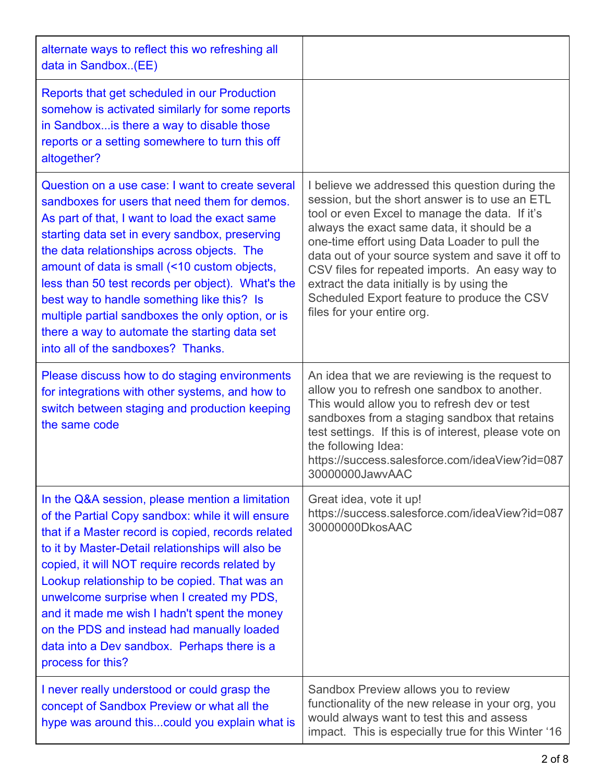| alternate ways to reflect this wo refreshing all<br>data in Sandbox(EE)                                                                                                                                                                                                                                                                                                                                                                                                                                                                            |                                                                                                                                                                                                                                                                                                                                                                                                                                                                                      |
|----------------------------------------------------------------------------------------------------------------------------------------------------------------------------------------------------------------------------------------------------------------------------------------------------------------------------------------------------------------------------------------------------------------------------------------------------------------------------------------------------------------------------------------------------|--------------------------------------------------------------------------------------------------------------------------------------------------------------------------------------------------------------------------------------------------------------------------------------------------------------------------------------------------------------------------------------------------------------------------------------------------------------------------------------|
| Reports that get scheduled in our Production<br>somehow is activated similarly for some reports<br>in Sandbox is there a way to disable those<br>reports or a setting somewhere to turn this off<br>altogether?                                                                                                                                                                                                                                                                                                                                    |                                                                                                                                                                                                                                                                                                                                                                                                                                                                                      |
| Question on a use case: I want to create several<br>sandboxes for users that need them for demos.<br>As part of that, I want to load the exact same<br>starting data set in every sandbox, preserving<br>the data relationships across objects. The<br>amount of data is small (<10 custom objects,<br>less than 50 test records per object). What's the<br>best way to handle something like this? Is<br>multiple partial sandboxes the only option, or is<br>there a way to automate the starting data set<br>into all of the sandboxes? Thanks. | I believe we addressed this question during the<br>session, but the short answer is to use an ETL<br>tool or even Excel to manage the data. If it's<br>always the exact same data, it should be a<br>one-time effort using Data Loader to pull the<br>data out of your source system and save it off to<br>CSV files for repeated imports. An easy way to<br>extract the data initially is by using the<br>Scheduled Export feature to produce the CSV<br>files for your entire org. |
| Please discuss how to do staging environments<br>for integrations with other systems, and how to<br>switch between staging and production keeping<br>the same code                                                                                                                                                                                                                                                                                                                                                                                 | An idea that we are reviewing is the request to<br>allow you to refresh one sandbox to another.<br>This would allow you to refresh dev or test<br>sandboxes from a staging sandbox that retains<br>test settings. If this is of interest, please vote on<br>the following Idea:<br>https://success.salesforce.com/ideaView?id=087<br>30000000JawvAAC                                                                                                                                 |
| In the Q&A session, please mention a limitation<br>of the Partial Copy sandbox: while it will ensure<br>that if a Master record is copied, records related<br>to it by Master-Detail relationships will also be<br>copied, it will NOT require records related by<br>Lookup relationship to be copied. That was an<br>unwelcome surprise when I created my PDS,<br>and it made me wish I hadn't spent the money<br>on the PDS and instead had manually loaded<br>data into a Dev sandbox. Perhaps there is a<br>process for this?                  | Great idea, vote it up!<br>https://success.salesforce.com/ideaView?id=087<br>30000000DkosAAC                                                                                                                                                                                                                                                                                                                                                                                         |
| I never really understood or could grasp the<br>concept of Sandbox Preview or what all the<br>hype was around thiscould you explain what is                                                                                                                                                                                                                                                                                                                                                                                                        | Sandbox Preview allows you to review<br>functionality of the new release in your org, you<br>would always want to test this and assess<br>impact. This is especially true for this Winter '16                                                                                                                                                                                                                                                                                        |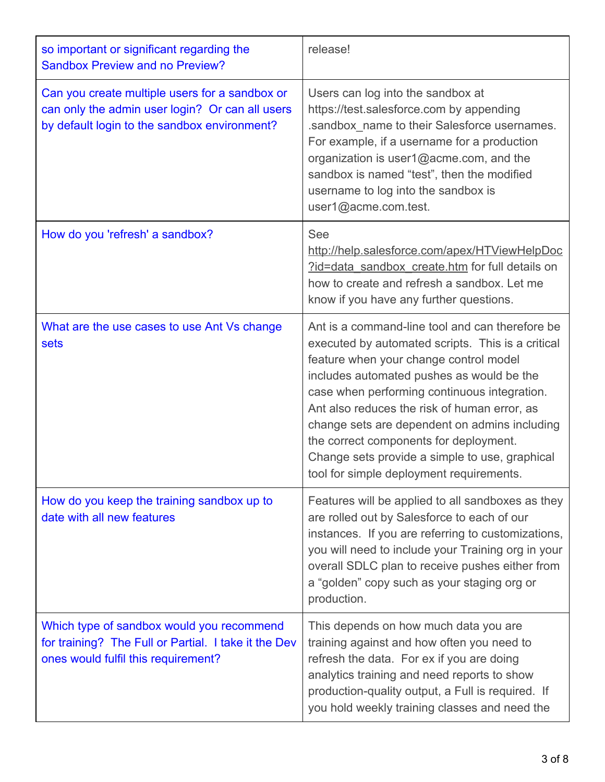| so important or significant regarding the<br><b>Sandbox Preview and no Preview?</b>                                                               | release!                                                                                                                                                                                                                                                                                                                                                                                                                                                                             |
|---------------------------------------------------------------------------------------------------------------------------------------------------|--------------------------------------------------------------------------------------------------------------------------------------------------------------------------------------------------------------------------------------------------------------------------------------------------------------------------------------------------------------------------------------------------------------------------------------------------------------------------------------|
| Can you create multiple users for a sandbox or<br>can only the admin user login? Or can all users<br>by default login to the sandbox environment? | Users can log into the sandbox at<br>https://test.salesforce.com by appending<br>.sandbox_name to their Salesforce usernames.<br>For example, if a username for a production<br>organization is user1@acme.com, and the<br>sandbox is named "test", then the modified<br>username to log into the sandbox is<br>user1@acme.com.test.                                                                                                                                                 |
| How do you 'refresh' a sandbox?                                                                                                                   | <b>See</b><br>http://help.salesforce.com/apex/HTViewHelpDoc<br>?id=data sandbox create.htm for full details on<br>how to create and refresh a sandbox. Let me<br>know if you have any further questions.                                                                                                                                                                                                                                                                             |
| What are the use cases to use Ant Vs change<br>sets                                                                                               | Ant is a command-line tool and can therefore be<br>executed by automated scripts. This is a critical<br>feature when your change control model<br>includes automated pushes as would be the<br>case when performing continuous integration.<br>Ant also reduces the risk of human error, as<br>change sets are dependent on admins including<br>the correct components for deployment.<br>Change sets provide a simple to use, graphical<br>tool for simple deployment requirements. |
| How do you keep the training sandbox up to<br>date with all new features                                                                          | Features will be applied to all sandboxes as they<br>are rolled out by Salesforce to each of our<br>instances. If you are referring to customizations,<br>you will need to include your Training org in your<br>overall SDLC plan to receive pushes either from<br>a "golden" copy such as your staging org or<br>production.                                                                                                                                                        |
| Which type of sandbox would you recommend<br>for training? The Full or Partial. I take it the Dev<br>ones would fulfil this requirement?          | This depends on how much data you are<br>training against and how often you need to<br>refresh the data. For ex if you are doing<br>analytics training and need reports to show<br>production-quality output, a Full is required. If<br>you hold weekly training classes and need the                                                                                                                                                                                                |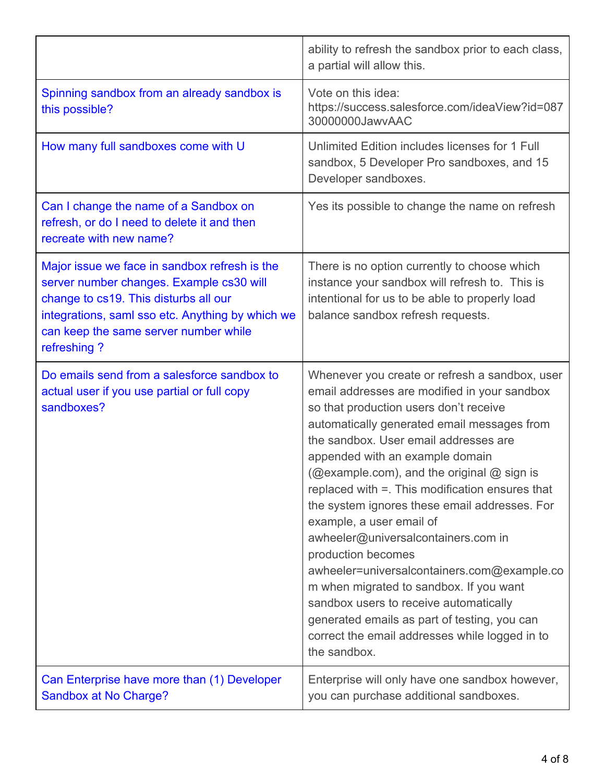|                                                                                                                                                                                                                                                | ability to refresh the sandbox prior to each class,<br>a partial will allow this.                                                                                                                                                                                                                                                                                                                                                                                                                                                                                                                                                                                                                                                                                    |
|------------------------------------------------------------------------------------------------------------------------------------------------------------------------------------------------------------------------------------------------|----------------------------------------------------------------------------------------------------------------------------------------------------------------------------------------------------------------------------------------------------------------------------------------------------------------------------------------------------------------------------------------------------------------------------------------------------------------------------------------------------------------------------------------------------------------------------------------------------------------------------------------------------------------------------------------------------------------------------------------------------------------------|
| Spinning sandbox from an already sandbox is<br>this possible?                                                                                                                                                                                  | Vote on this idea:<br>https://success.salesforce.com/ideaView?id=087<br>30000000JawyAAC                                                                                                                                                                                                                                                                                                                                                                                                                                                                                                                                                                                                                                                                              |
| How many full sandboxes come with U                                                                                                                                                                                                            | Unlimited Edition includes licenses for 1 Full<br>sandbox, 5 Developer Pro sandboxes, and 15<br>Developer sandboxes.                                                                                                                                                                                                                                                                                                                                                                                                                                                                                                                                                                                                                                                 |
| Can I change the name of a Sandbox on<br>refresh, or do I need to delete it and then<br>recreate with new name?                                                                                                                                | Yes its possible to change the name on refresh                                                                                                                                                                                                                                                                                                                                                                                                                                                                                                                                                                                                                                                                                                                       |
| Major issue we face in sandbox refresh is the<br>server number changes. Example cs30 will<br>change to cs19. This disturbs all our<br>integrations, saml sso etc. Anything by which we<br>can keep the same server number while<br>refreshing? | There is no option currently to choose which<br>instance your sandbox will refresh to. This is<br>intentional for us to be able to properly load<br>balance sandbox refresh requests.                                                                                                                                                                                                                                                                                                                                                                                                                                                                                                                                                                                |
| Do emails send from a salesforce sandbox to<br>actual user if you use partial or full copy<br>sandboxes?                                                                                                                                       | Whenever you create or refresh a sandbox, user<br>email addresses are modified in your sandbox<br>so that production users don't receive<br>automatically generated email messages from<br>the sandbox. User email addresses are<br>appended with an example domain<br>(@example.com), and the original @ sign is<br>replaced with =. This modification ensures that<br>the system ignores these email addresses. For<br>example, a user email of<br>awheeler@universalcontainers.com in<br>production becomes<br>awheeler=universalcontainers.com@example.co<br>m when migrated to sandbox. If you want<br>sandbox users to receive automatically<br>generated emails as part of testing, you can<br>correct the email addresses while logged in to<br>the sandbox. |
| Can Enterprise have more than (1) Developer<br>Sandbox at No Charge?                                                                                                                                                                           | Enterprise will only have one sandbox however,<br>you can purchase additional sandboxes.                                                                                                                                                                                                                                                                                                                                                                                                                                                                                                                                                                                                                                                                             |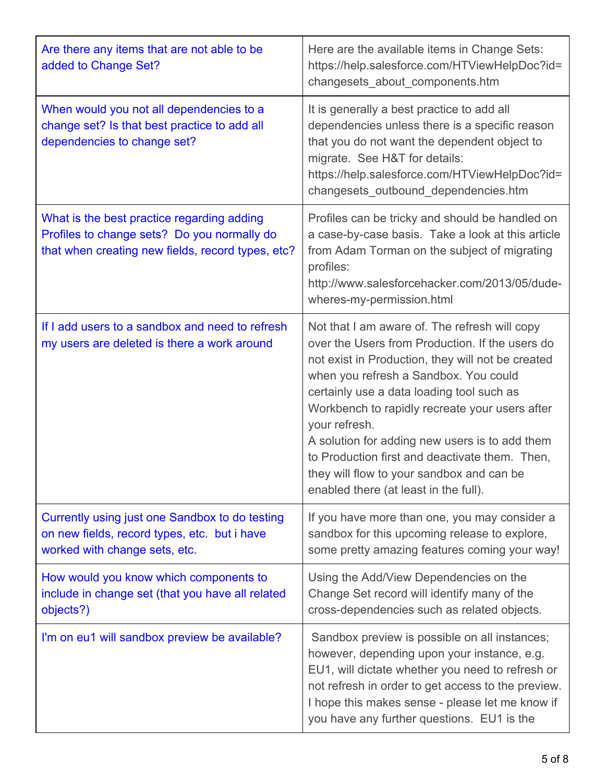| Are there any items that are not able to be<br>added to Change Set?                                                                            | Here are the available items in Change Sets:<br>https://help.salesforce.com/HTViewHelpDoc?id=<br>changesets_about_components.htm                                                                                                                                                                                                                                                                                                                                                                         |
|------------------------------------------------------------------------------------------------------------------------------------------------|----------------------------------------------------------------------------------------------------------------------------------------------------------------------------------------------------------------------------------------------------------------------------------------------------------------------------------------------------------------------------------------------------------------------------------------------------------------------------------------------------------|
| When would you not all dependencies to a<br>change set? Is that best practice to add all<br>dependencies to change set?                        | It is generally a best practice to add all<br>dependencies unless there is a specific reason<br>that you do not want the dependent object to<br>migrate. See H&T for details:<br>https://help.salesforce.com/HTViewHelpDoc?id=<br>changesets_outbound_dependencies.htm                                                                                                                                                                                                                                   |
| What is the best practice regarding adding<br>Profiles to change sets? Do you normally do<br>that when creating new fields, record types, etc? | Profiles can be tricky and should be handled on<br>a case-by-case basis. Take a look at this article<br>from Adam Torman on the subject of migrating<br>profiles:<br>http://www.salesforcehacker.com/2013/05/dude-<br>wheres-my-permission.html                                                                                                                                                                                                                                                          |
| If I add users to a sandbox and need to refresh<br>my users are deleted is there a work around                                                 | Not that I am aware of. The refresh will copy<br>over the Users from Production. If the users do<br>not exist in Production, they will not be created<br>when you refresh a Sandbox. You could<br>certainly use a data loading tool such as<br>Workbench to rapidly recreate your users after<br>your refresh.<br>A solution for adding new users is to add them<br>to Production first and deactivate them. Then,<br>they will flow to your sandbox and can be<br>enabled there (at least in the full). |
| Currently using just one Sandbox to do testing<br>on new fields, record types, etc. but i have<br>worked with change sets, etc.                | If you have more than one, you may consider a<br>sandbox for this upcoming release to explore,<br>some pretty amazing features coming your way!                                                                                                                                                                                                                                                                                                                                                          |
| How would you know which components to<br>include in change set (that you have all related<br>objects?)                                        | Using the Add/View Dependencies on the<br>Change Set record will identify many of the<br>cross-dependencies such as related objects.                                                                                                                                                                                                                                                                                                                                                                     |
| I'm on eu1 will sandbox preview be available?                                                                                                  | Sandbox preview is possible on all instances;<br>however, depending upon your instance, e.g.<br>EU1, will dictate whether you need to refresh or<br>not refresh in order to get access to the preview.<br>I hope this makes sense - please let me know if<br>you have any further questions. EU1 is the                                                                                                                                                                                                  |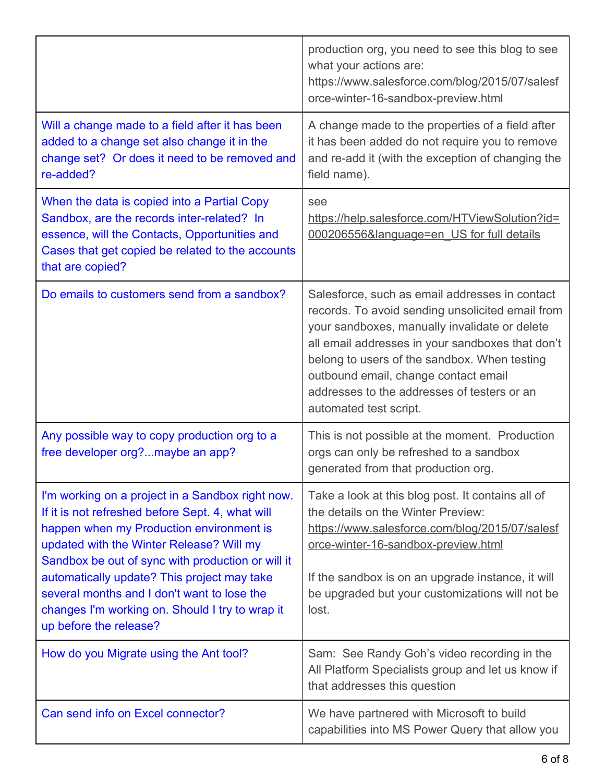|                                                                                                                                                                                                                                                                                                                                                                                                                              | production org, you need to see this blog to see<br>what your actions are:<br>https://www.salesforce.com/blog/2015/07/salesf<br>orce-winter-16-sandbox-preview.html                                                                                                                                                                                                      |
|------------------------------------------------------------------------------------------------------------------------------------------------------------------------------------------------------------------------------------------------------------------------------------------------------------------------------------------------------------------------------------------------------------------------------|--------------------------------------------------------------------------------------------------------------------------------------------------------------------------------------------------------------------------------------------------------------------------------------------------------------------------------------------------------------------------|
| Will a change made to a field after it has been<br>added to a change set also change it in the<br>change set? Or does it need to be removed and<br>re-added?                                                                                                                                                                                                                                                                 | A change made to the properties of a field after<br>it has been added do not require you to remove<br>and re-add it (with the exception of changing the<br>field name).                                                                                                                                                                                                  |
| When the data is copied into a Partial Copy<br>Sandbox, are the records inter-related? In<br>essence, will the Contacts, Opportunities and<br>Cases that get copied be related to the accounts<br>that are copied?                                                                                                                                                                                                           | see<br>https://help.salesforce.com/HTViewSolution?id=<br>000206556&language=en_US for full details                                                                                                                                                                                                                                                                       |
| Do emails to customers send from a sandbox?                                                                                                                                                                                                                                                                                                                                                                                  | Salesforce, such as email addresses in contact<br>records. To avoid sending unsolicited email from<br>your sandboxes, manually invalidate or delete<br>all email addresses in your sandboxes that don't<br>belong to users of the sandbox. When testing<br>outbound email, change contact email<br>addresses to the addresses of testers or an<br>automated test script. |
| Any possible way to copy production org to a<br>free developer org?maybe an app?                                                                                                                                                                                                                                                                                                                                             | This is not possible at the moment. Production<br>orgs can only be refreshed to a sandbox<br>generated from that production org.                                                                                                                                                                                                                                         |
| I'm working on a project in a Sandbox right now.<br>If it is not refreshed before Sept. 4, what will<br>happen when my Production environment is<br>updated with the Winter Release? Will my<br>Sandbox be out of sync with production or will it<br>automatically update? This project may take<br>several months and I don't want to lose the<br>changes I'm working on. Should I try to wrap it<br>up before the release? | Take a look at this blog post. It contains all of<br>the details on the Winter Preview:<br>https://www.salesforce.com/blog/2015/07/salesf<br>orce-winter-16-sandbox-preview.html<br>If the sandbox is on an upgrade instance, it will<br>be upgraded but your customizations will not be<br>lost.                                                                        |
| How do you Migrate using the Ant tool?                                                                                                                                                                                                                                                                                                                                                                                       | Sam: See Randy Goh's video recording in the<br>All Platform Specialists group and let us know if<br>that addresses this question                                                                                                                                                                                                                                         |
| Can send info on Excel connector?                                                                                                                                                                                                                                                                                                                                                                                            | We have partnered with Microsoft to build<br>capabilities into MS Power Query that allow you                                                                                                                                                                                                                                                                             |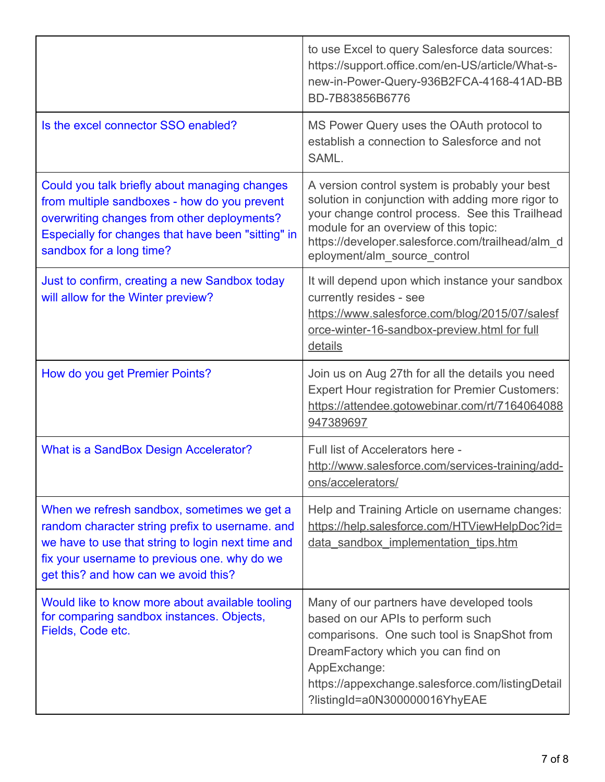|                                                                                                                                                                                                                                             | to use Excel to query Salesforce data sources:<br>https://support.office.com/en-US/article/What-s-<br>new-in-Power-Query-936B2FCA-4168-41AD-BB<br>BD-7B83856B6776                                                                                                                   |
|---------------------------------------------------------------------------------------------------------------------------------------------------------------------------------------------------------------------------------------------|-------------------------------------------------------------------------------------------------------------------------------------------------------------------------------------------------------------------------------------------------------------------------------------|
| Is the excel connector SSO enabled?                                                                                                                                                                                                         | MS Power Query uses the OAuth protocol to<br>establish a connection to Salesforce and not<br>SAML.                                                                                                                                                                                  |
| Could you talk briefly about managing changes<br>from multiple sandboxes - how do you prevent<br>overwriting changes from other deployments?<br>Especially for changes that have been "sitting" in<br>sandbox for a long time?              | A version control system is probably your best<br>solution in conjunction with adding more rigor to<br>your change control process. See this Trailhead<br>module for an overview of this topic:<br>https://developer.salesforce.com/trailhead/alm_d<br>eployment/alm_source_control |
| Just to confirm, creating a new Sandbox today<br>will allow for the Winter preview?                                                                                                                                                         | It will depend upon which instance your sandbox<br>currently resides - see<br>https://www.salesforce.com/blog/2015/07/salesf<br>orce-winter-16-sandbox-preview.html for full<br>details                                                                                             |
| How do you get Premier Points?                                                                                                                                                                                                              | Join us on Aug 27th for all the details you need<br><b>Expert Hour registration for Premier Customers:</b><br>https://attendee.gotowebinar.com/rt/7164064088<br>947389697                                                                                                           |
| What is a SandBox Design Accelerator?                                                                                                                                                                                                       | Full list of Accelerators here -<br>http://www.salesforce.com/services-training/add-<br>ons/accelerators/                                                                                                                                                                           |
| When we refresh sandbox, sometimes we get a<br>random character string prefix to username. and<br>we have to use that string to login next time and<br>fix your username to previous one. why do we<br>get this? and how can we avoid this? | Help and Training Article on username changes:<br>https://help.salesforce.com/HTViewHelpDoc?id=<br>data sandbox implementation tips.htm                                                                                                                                             |
| Would like to know more about available tooling<br>for comparing sandbox instances. Objects,<br>Fields, Code etc.                                                                                                                           | Many of our partners have developed tools<br>based on our APIs to perform such<br>comparisons. One such tool is SnapShot from<br>DreamFactory which you can find on<br>AppExchange:<br>https://appexchange.salesforce.com/listingDetail<br>?listingId=a0N300000016YhyEAE            |